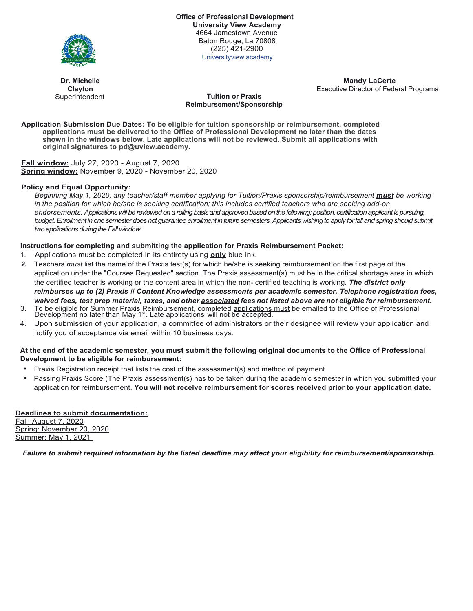

**Office of Professional Development University View Academy** 4664 Jamestown Avenue Baton Rouge, La 70808 (225) 421-2900 Universityview.academy

**Dr. Michelle Clayton** Superintendent

**Mandy LaCerte** Executive Director of Federal Programs

## **Tuition or Praxis Reimbursement/Sponsorship**

**Application Submission Due Dates: To be eligible for tuition sponsorship or reimbursement, completed applications must be delivered to the Office of Professional Development no later than the dates shown in the windows below. Late applications will not be reviewed. Submit all applications with original signatures to pd@uview.academy.**

**Fall window:** July 27, 2020 - August 7, 2020 **Spring window:** November 9, 2020 - November 20, 2020

# **Policy and Equal Opportunity:**

*Beginning May 1, 2020, any teacher/staff member applying for Tuition/Praxis sponsorship/reimbursement must be working in the position for which he/she is seeking certification; this includes certified teachers who are seeking add-on endorsements. Applications will be reviewed on a rolling basis and approved based on the following: position, certification applicant is pursuing,*  budget. Enrollment in one semester does not guarantee enrollment in future semesters. Applicants wishing to apply for fall and spring should submit *two applications during the Fall window.* 

## **Instructions for completing and submitting the application for Praxis Reimbursement Packet:**

- 1. Applications must be completed in its entirety using **only** blue ink.
- *2.* Teachers *must* list the name of the Praxis test(s) for which he/she is seeking reimbursement on the first page of the application under the "Courses Requested" section. The Praxis assessment(s) must be in the critical shortage area in which the certified teacher is working or the content area in which the non- certified teaching is working. *The district only reimburses up to (2) Praxis II Content Knowledge assessments per academic semester. Telephone registration fees, waived fees, test prep material, taxes, and other associated fees not listed above are not eligible for reimbursement.*
- 3. To be eligible for Summer Praxis Reimbursement, completed <u>applications must</u> be emailed to the Office of Professional<br>Development no later than May 1<sup>st</sup>. Late applications will not be accepted.
- 4. Upon submission of your application, a committee of administrators or their designee will review your application and notify you of acceptance via email within 10 business days.

## **At the end of the academic semester, you must submit the following original documents to the Office of Professional Development to be eligible for reimbursement:**

- Praxis Registration receipt that lists the cost of the assessment(s) and method of payment
- Passing Praxis Score (The Praxis assessment(s) has to be taken during the academic semester in which you submitted your application for reimbursement. **You will not receive reimbursement for scores received prior to your application date.**

# **Deadlines to submit documentation:**

Fall: August 7, 2020 Spring: November 20, 2020 Summer: May 1, 2021

*Failure to submit required information by the listed deadline may affect your eligibility for reimbursement/sponsorship.*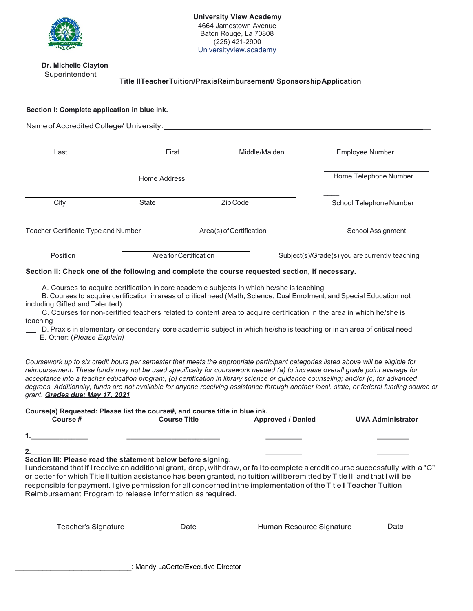

#### **Dr. Michelle Clayton Superintendent**

**Title IITeacherTuition/PraxisReimbursement/ SponsorshipApplication**

## **Section I: Complete application in blue ink.**

| Last                                | First                  | Middle/Maiden            | <b>Employee Number</b>                         |
|-------------------------------------|------------------------|--------------------------|------------------------------------------------|
| Home Address                        |                        |                          | Home Telephone Number                          |
| City                                | <b>State</b>           | Zip Code                 | School Telephone Number                        |
| Teacher Certificate Type and Number |                        | Area(s) of Certification | School Assignment                              |
| Position                            | Area for Certification |                          | Subject(s)/Grade(s) you are currently teaching |

A. Courses to acquire certification in core academic subjects in which he/she is teaching

 B. Courses to acquire certification in areas of critical need (Math, Science, Dual Enrollment, and Special Education not including Gifted and Talented)

 C. Courses for non-certified teachers related to content area to acquire certification in the area in which he/she is teaching

 D. Praxis in elementary or secondary core academic subject in which he/she is teaching or in an area of critical need \_\_\_ E. Other: (*Please Explain)*

*Coursework up to six credit hours per semester that meets the appropriate participant categories listed above will be eligible for reimbursement. These funds may not be used specifically for coursework needed (a) to increase overall grade point average for acceptance into a teacher education program; (b) certification in library science or guidance counseling; and/or (c) for advanced degrees. Additionally, funds are not available for anyone receiving assistance through another local. state, or federal funding source or grant. Grades due: May 17, 2021*

| Course(s) Requested: Please list the course#, and course title in blue ink. |                     |                          |                   |  |  |  |
|-----------------------------------------------------------------------------|---------------------|--------------------------|-------------------|--|--|--|
| Course #                                                                    | <b>Course Title</b> | <b>Approved / Denied</b> | UVA Administrator |  |  |  |
|                                                                             |                     |                          |                   |  |  |  |

**2.\_\_\_\_\_\_\_\_\_\_\_\_\_\_ \_\_\_\_\_\_\_\_\_\_\_\_\_\_\_\_\_\_\_\_\_\_\_ \_\_\_\_\_\_\_\_\_ \_\_\_\_\_\_\_\_ Section Ill: Please read the statement below before signing.**

I understand that if Ireceive an additionalgrant, drop, withdraw, or failto complete a credit course successfully with a "C" or better for which Title II tuition assistance has been granted, no tuition willberemitted by Title II andthat I will be responsible for payment. I give permission for all concerned in the implementation of the Title II Teacher Tuition Reimbursement Program to release information as required.

Teacher's Signature Date Human Resource Signature Date

\_\_\_\_\_\_\_\_\_\_\_\_\_\_\_\_\_\_\_\_\_\_\_\_\_\_\_\_\_\_: Mandy LaCerte/Executive Director